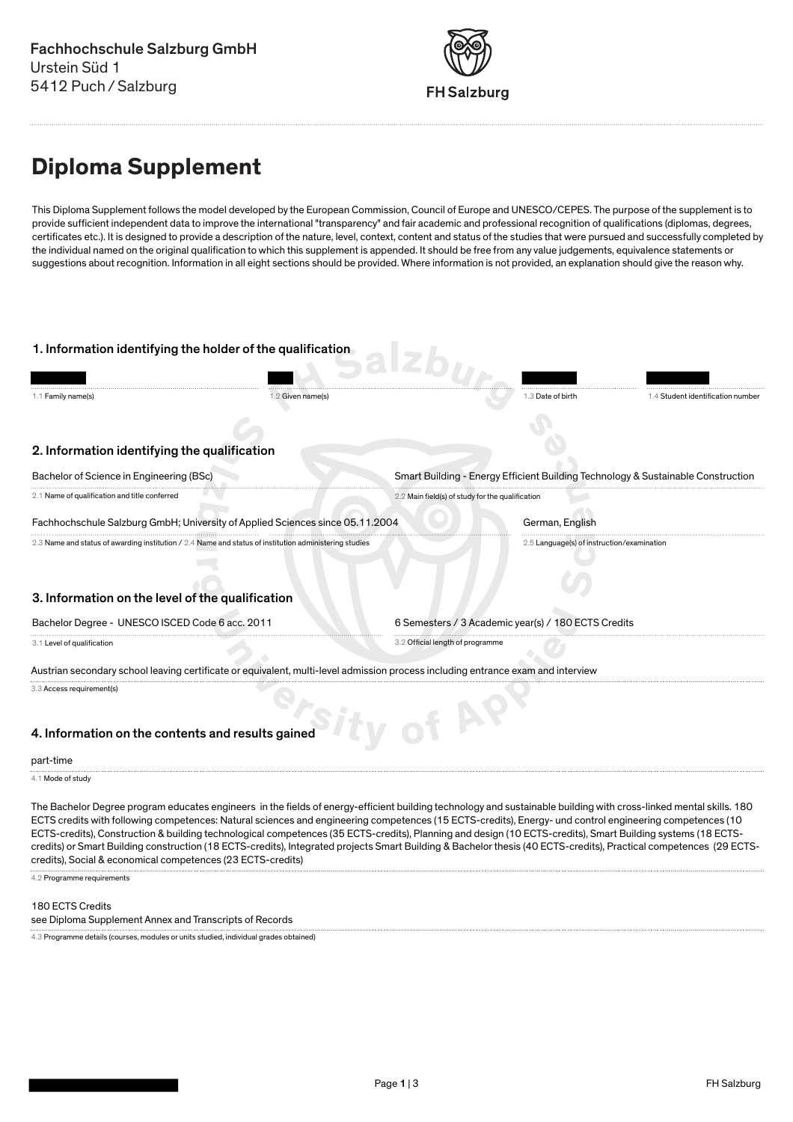

# **Diploma Supplement**

This Diploma Supplement follows the model developed by the European Commission, Council of Europe and UNESCO/CEPES. The purpose of the supplement is to provide sufficient independent data to improve the international "transparency" and fair academic and professional recognition of qualifications (diplomas, degrees, certificates etc.). It is designed to provide a description of the nature, level, context, content and status of the studies that were pursued and successfully completed by the individual named on the original qualification to which this supplement is appended. It should be free from any value judgements, equivalence statements or suggestions about recognition. Information in all eight sections should be provided. Where information is not provided, an explanation should give the reason why.



The Bachelor Degree program educates engineers in the fields of energy-efficient building technology and sustainable building with cross-linked mental skills. 180 ECTS credits with following competences: Natural sciences and engineering competences (15 ECTS-credits), Energy- und control engineering competences (10 ECTS-credits), Construction & building technological competences (35 ECTS-credits), Planning and design (10 ECTS-credits), Smart Building systems (18 ECTScredits) or Smart Building construction (18 ECTS-credits), Integrated projects Smart Building & Bachelor thesis (40 ECTS-credits), Practical competences (29 ECTScredits), Social & economical competences (23 ECTS-credits)

4.2 Programme requirements

### 180 ECTS Credits

see Diploma Supplement Annex and Transcripts of Records

4.3 Programme details (courses, modules or units studied, individual grades obtained)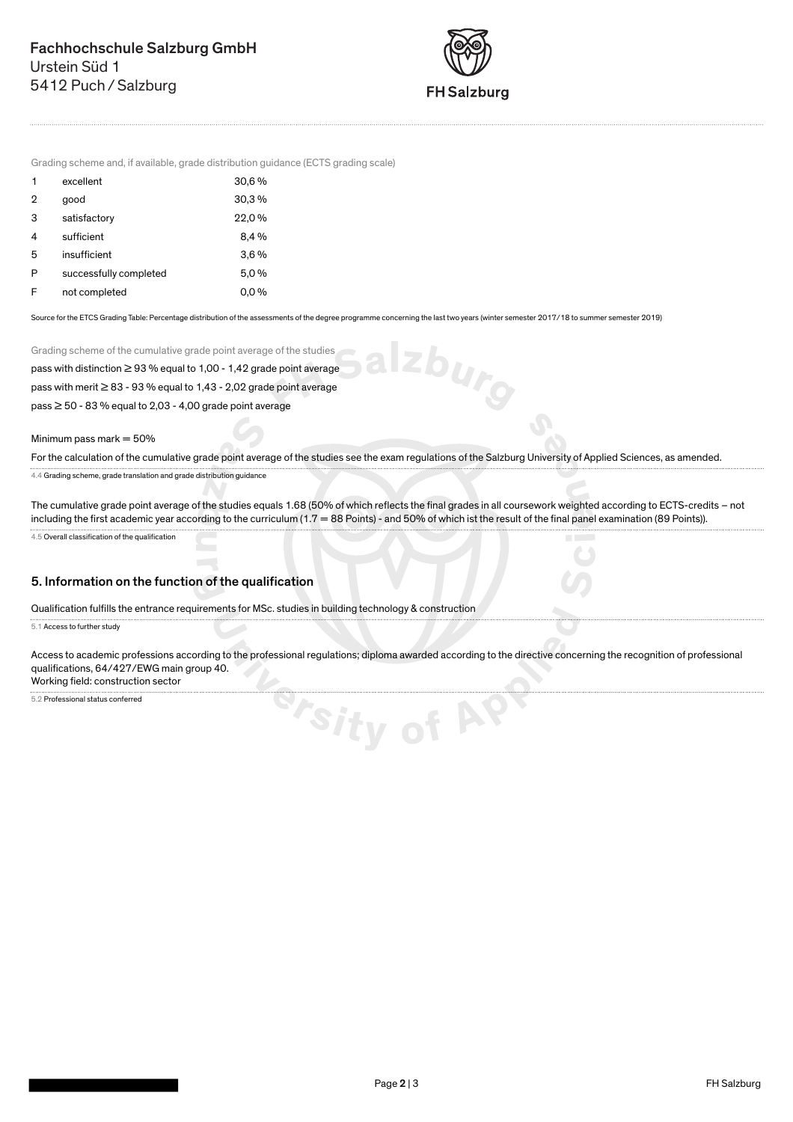

Izburg

J

Grading scheme and, if available, grade distribution guidance (ECTS grading scale)

| 1 | excellent              | 30,6%   |
|---|------------------------|---------|
| 2 | good                   | 30.3%   |
| 3 | satisfactory           | 22,0%   |
| 4 | sufficient             | 8.4%    |
| 5 | insufficient           | $3.6\%$ |
| P | successfully completed | 5,0%    |
| F | not completed          | $0.0\%$ |

Source for the ETCS Grading Table: Percentage distribution of the assessments of the degree programme concerning the last two years (winter semester 2017/18 to summer semester 2019)

Grading scheme of the cumulative grade point average of the studies

pass with distinction ≥ 93 % equal to 1,00 - 1,42 grade point average

pass with merit ≥ 83 - 93 % equal to 1,43 - 2,02 grade point average

pass ≥ 50 - 83 % equal to 2,03 - 4,00 grade point average

Minimum pass mark  $= 50%$ 

For the calculation of the cumulative grade point average of the studies see the exam regulations of the Salzburg University of Applied Sciences, as amended.

4.4 Grading scheme, grade translation and grade distribution guidance

The cumulative grade point average of the studies equals 1.68 (50% of which reflects the final grades in all coursework weighted according to ECTS-credits – not including the first academic year according to the curriculum (1.7 = 88 Points) - and 50% of which ist the result of the final panel examination (89 Points)).

4.5 Overall classification of the qualification

## 5. Information on the function of the qualification

Qualification fulfills the entrance requirements for MSc. studies in building technology & construction

5.1 Access to further study

Access to academic professions according to the professional regulations; diploma awarded according to the directive concerning the recognition of professional qualifications, 64/427/EWG main group 40.

<sup>S/S/ty of AS</sup>

Working field: construction sector

5.2 Professional status conferred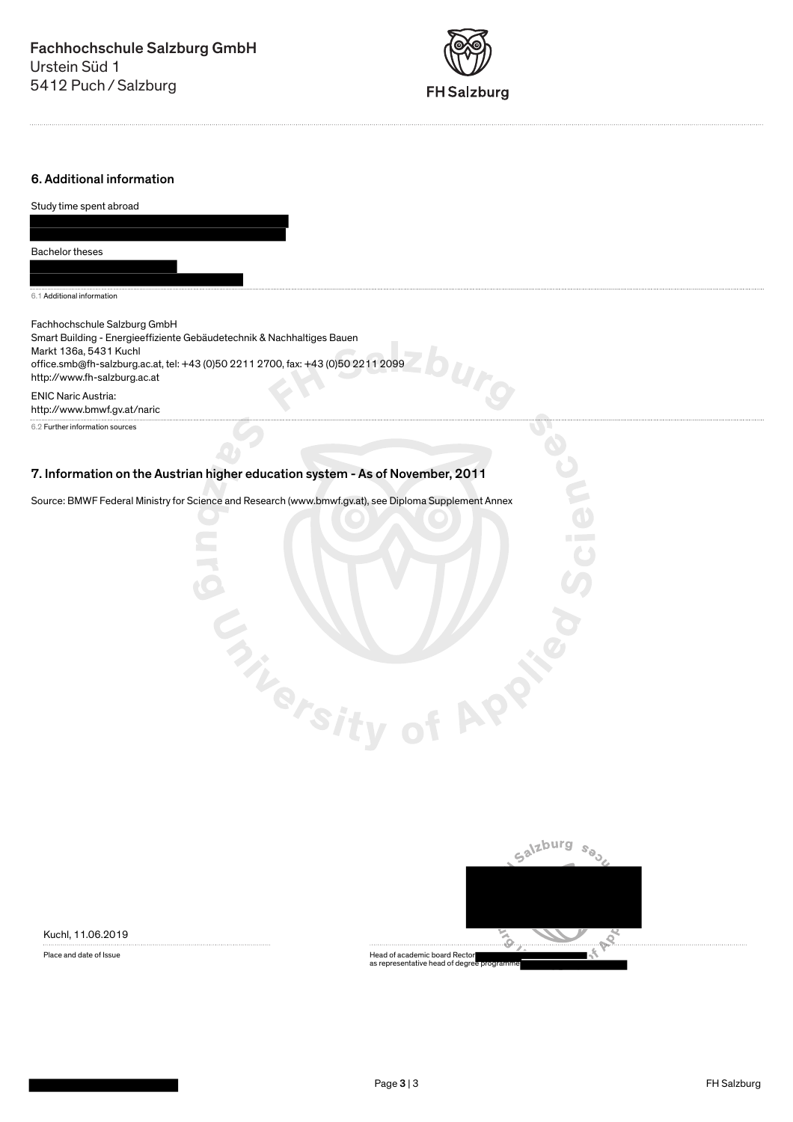

## 6. Additional information

| Study time spent abroad                                                                                                                                                                                                                              |
|------------------------------------------------------------------------------------------------------------------------------------------------------------------------------------------------------------------------------------------------------|
|                                                                                                                                                                                                                                                      |
|                                                                                                                                                                                                                                                      |
| Bachelor theses                                                                                                                                                                                                                                      |
|                                                                                                                                                                                                                                                      |
| 6.1 Additional information                                                                                                                                                                                                                           |
| Fachhochschule Salzburg GmbH<br>Smart Building - Energieeffiziente Gebäudetechnik & Nachhaltiges Bauen<br>Markt 136a, 5431 Kuchl<br>office.smb@fh-salzburg.ac.at, tel: +43 (0)50 2211 2700, fax: +43 (0)50 2211 2099<br>http://www.fh-salzburg.ac.at |
| <b>ENIC Naric Austria:</b><br>http://www.bmwf.gv.at/naric                                                                                                                                                                                            |
| 6.2 Further information sources                                                                                                                                                                                                                      |
|                                                                                                                                                                                                                                                      |
| 7. Information on the Austrian higher education system - As of November, 2011                                                                                                                                                                        |
| Source: BMWF Federal Ministry for Science and Research (www.bmwf.gv.at), see Diploma Supplement Annex                                                                                                                                                |
|                                                                                                                                                                                                                                                      |
|                                                                                                                                                                                                                                                      |
|                                                                                                                                                                                                                                                      |
|                                                                                                                                                                                                                                                      |
|                                                                                                                                                                                                                                                      |
|                                                                                                                                                                                                                                                      |
|                                                                                                                                                                                                                                                      |
|                                                                                                                                                                                                                                                      |
|                                                                                                                                                                                                                                                      |
|                                                                                                                                                                                                                                                      |
| <b>f APP</b>                                                                                                                                                                                                                                         |
|                                                                                                                                                                                                                                                      |
|                                                                                                                                                                                                                                                      |
| <b>Thersity</b>                                                                                                                                                                                                                                      |
|                                                                                                                                                                                                                                                      |

Kuchl, 11.06.2019



Place and date of Issue<br>Place and date of Issue According the academic board Rector as representative head of degree programme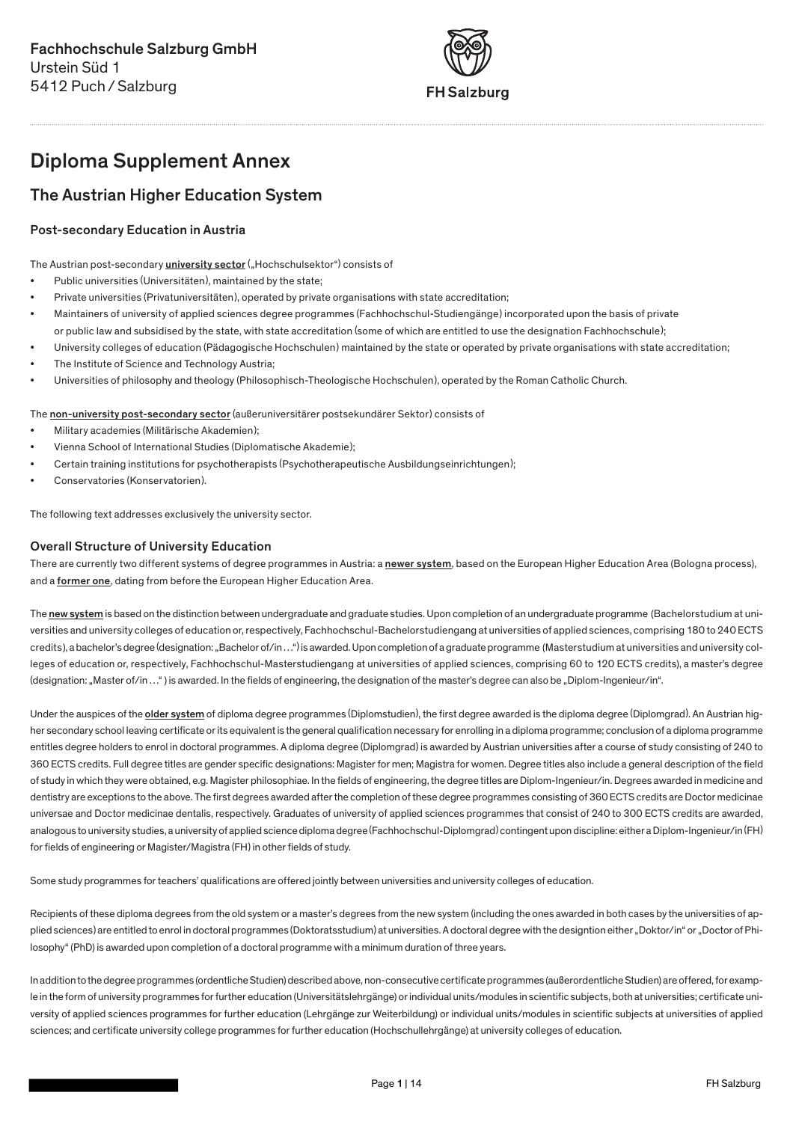

# Diploma Supplement Annex

## The Austrian Higher Education System

## Post-secondary Education in Austria

The Austrian post-secondary *university sector* ("Hochschulsektor") consists of

- Public universities (Universitäten), maintained by the state;
- Private universities (Privatuniversitäten), operated by private organisations with state accreditation;
- Maintainers of university of applied sciences degree programmes (Fachhochschul-Studiengänge) incorporated upon the basis of private or public law and subsidised by the state, with state accreditation (some of which are entitled to use the designation Fachhochschule);
- University colleges of education (Pädagogische Hochschulen) maintained by the state or operated by private organisations with state accreditation;
- The Institute of Science and Technology Austria;
- Universities of philosophy and theology (Philosophisch-Theologische Hochschulen), operated by the Roman Catholic Church.

### The non-university post-secondary sector (außeruniversitärer postsekundärer Sektor) consists of

- Military academies (Militärische Akademien);
- Vienna School of International Studies (Diplomatische Akademie);
- Certain training institutions for psychotherapists (Psychotherapeutische Ausbildungseinrichtungen);
- Conservatories (Konservatorien).

The following text addresses exclusively the university sector.

## Overall Structure of University Education

There are currently two different systems of degree programmes in Austria: a newer system, based on the European Higher Education Area (Bologna process), and a former one, dating from before the European Higher Education Area.

The new system is based on the distinction between undergraduate and graduate studies. Upon completion of an undergraduate programme (Bachelorstudium at universities and university colleges of education or, respectively, Fachhochschul-Bachelorstudiengang at universities of applied sciences, comprising 180 to 240 ECTS credits), a bachelor's degree (designation: "Bachelor of/in ...") is awarded. Upon completion of a graduate programme (Masterstudium at universities and university colleges of education or, respectively, Fachhochschul-Masterstudiengang at universities of applied sciences, comprising 60 to 120 ECTS credits), a master's degree (designation: "Master of/in ...") is awarded. In the fields of engineering, the designation of the master's degree can also be "Diplom-Ingenieur/in".

Under the auspices of the older system of diploma degree programmes (Diplomstudien), the first degree awarded is the diploma degree (Diplomgrad). An Austrian higher secondary school leaving certificate or its equivalent is the general qualification necessary for enrolling in a diploma programme; conclusion of a diploma programme entitles degree holders to enrol in doctoral programmes. A diploma degree (Diplomgrad) is awarded by Austrian universities after a course of study consisting of 240 to 360 ECTS credits. Full degree titles are gender specific designations: Magister for men; Magistra for women. Degree titles also include a general description of the field of study in which they were obtained, e.g. Magister philosophiae. In the fields of engineering, the degree titles are Diplom-Ingenieur/in. Degrees awarded in medicine and dentistry are exceptions to the above. The first degrees awarded after the completion of these degree programmes consisting of 360 ECTS credits are Doctor medicinae universae and Doctor medicinae dentalis, respectively. Graduates of university of applied sciences programmes that consist of 240 to 300 ECTS credits are awarded, analogous to university studies, a university of applied science diploma degree (Fachhochschul-Diplomgrad) contingent upon discipline: either a Diplom-Ingenieur/in (FH) for fields of engineering or Magister/Magistra (FH) in other fields of study.

Some study programmes for teachers' qualifications are offered jointly between universities and university colleges of education.

Recipients of these diploma degrees from the old system or a master's degrees from the new system (including the ones awarded in both cases by the universities of applied sciences) are entitled to enrol in doctoral programmes (Doktoratsstudium) at universities. A doctoral degree with the designtion either "Doktor/in" or "Doctor of Philosophy" (PhD) is awarded upon completion of a doctoral programme with a minimum duration of three years.

In addition to the degree programmes (ordentliche Studien) described above, non-consecutive certificate programmes (außerordentliche Studien) are offered, for example in the form of university programmes for further education (Universitätslehrgänge) or individual units/modules in scientific subjects, both at universities; certificate university of applied sciences programmes for further education (Lehrgänge zur Weiterbildung) or individual units/modules in scientific subjects at universities of applied sciences; and certificate university college programmes for further education (Hochschullehrgänge) at university colleges of education.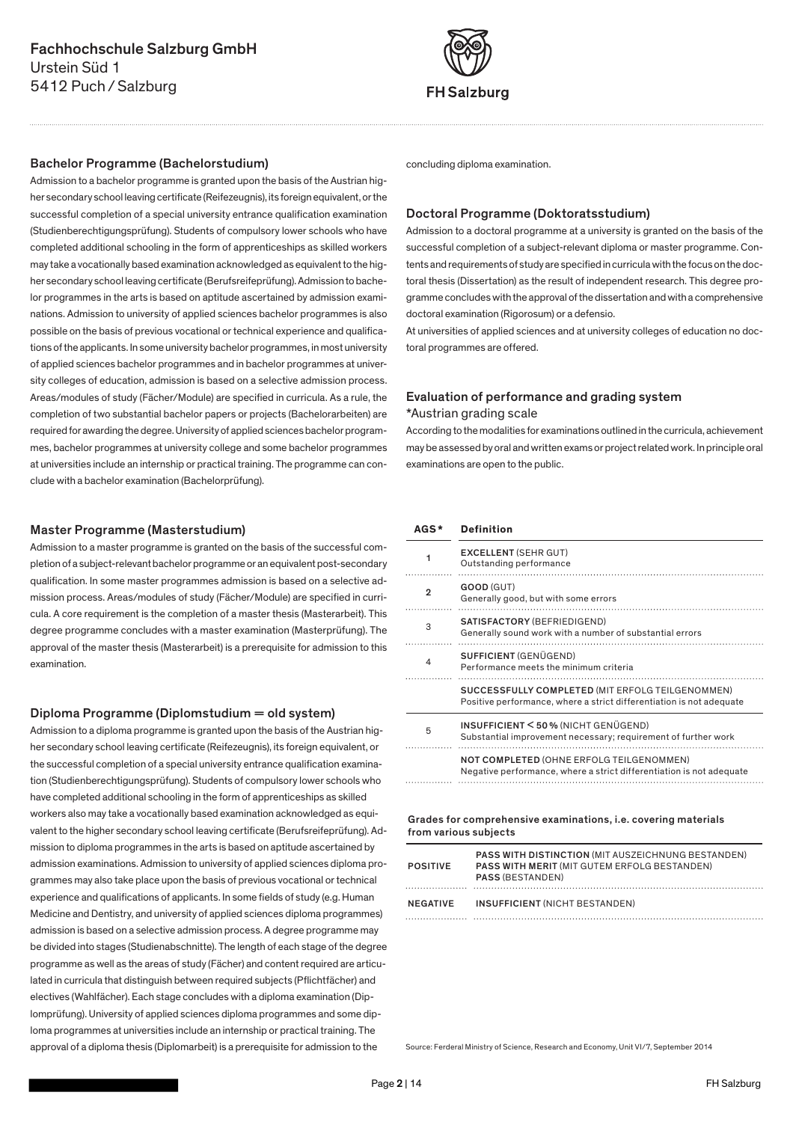

### Bachelor Programme (Bachelorstudium)

Admission to a bachelor programme is granted upon the basis of the Austrian higher secondary school leaving certificate (Reifezeugnis), its foreign equivalent, or the successful completion of a special university entrance qualification examination (Studienberechtigungsprüfung). Students of compulsory lower schools who have completed additional schooling in the form of apprenticeships as skilled workers may take a vocationally based examination acknowledged as equivalent to the higher secondary school leaving certificate (Berufsreifeprüfung). Admission to bachelor programmes in the arts is based on aptitude ascertained by admission examinations. Admission to university of applied sciences bachelor programmes is also possible on the basis of previous vocational or technical experience and qualifications of the applicants. In some university bachelor programmes, in most university of applied sciences bachelor programmes and in bachelor programmes at university colleges of education, admission is based on a selective admission process. Areas/modules of study (Fächer/Module) are specified in curricula. As a rule, the completion of two substantial bachelor papers or projects (Bachelorarbeiten) are required for awarding the degree. University of applied sciences bachelor programmes, bachelor programmes at university college and some bachelor programmes at universities include an internship or practical training. The programme can conclude with a bachelor examination (Bachelorprüfung).

### Master Programme (Masterstudium)

Admission to a master programme is granted on the basis of the successful completion of a subject-relevant bachelor programme or an equivalent post-secondary qualification. In some master programmes admission is based on a selective admission process. Areas/modules of study (Fächer/Module) are specified in curricula. A core requirement is the completion of a master thesis (Masterarbeit). This degree programme concludes with a master examination (Masterprüfung). The approval of the master thesis (Masterarbeit) is a prerequisite for admission to this examination.

### Diploma Programme (Diplomstudium = old system)

Admission to a diploma programme is granted upon the basis of the Austrian higher secondary school leaving certificate (Reifezeugnis), its foreign equivalent, or the successful completion of a special university entrance qualification examination (Studienberechtigungsprüfung). Students of compulsory lower schools who have completed additional schooling in the form of apprenticeships as skilled workers also may take a vocationally based examination acknowledged as equivalent to the higher secondary school leaving certificate (Berufsreifeprüfung). Admission to diploma programmes in the arts is based on aptitude ascertained by admission examinations. Admission to university of applied sciences diploma programmes may also take place upon the basis of previous vocational or technical experience and qualifications of applicants. In some fields of study (e.g. Human Medicine and Dentistry, and university of applied sciences diploma programmes) admission is based on a selective admission process. A degree programme may be divided into stages (Studienabschnitte). The length of each stage of the degree programme as well as the areas of study (Fächer) and content required are articulated in curricula that distinguish between required subjects (Pflichtfächer) and electives (Wahlfächer). Each stage concludes with a diploma examination (Diplomprüfung). University of applied sciences diploma programmes and some diploma programmes at universities include an internship or practical training. The approval of a diploma thesis (Diplomarbeit) is a prerequisite for admission to the

concluding diploma examination.

### Doctoral Programme (Doktoratsstudium)

Admission to a doctoral programme at a university is granted on the basis of the successful completion of a subject-relevant diploma or master programme. Contents and requirements of study are specified in curricula with the focus on the doctoral thesis (Dissertation) as the result of independent research. This degree programme concludes with the approval of the dissertation and with a comprehensive doctoral examination (Rigorosum) or a defensio.

At universities of applied sciences and at university colleges of education no doctoral programmes are offered.

## Evaluation of performance and grading system

### \*Austrian grading scale

According to the modalities for examinations outlined in the curricula, achievement may be assessed by oral and written exams or project related work. In principle oral examinations are open to the public.

### **AGS \* Definition**

|   | <b>EXCELLENT (SEHR GUT)</b><br>Outstanding performance                                                                   |
|---|--------------------------------------------------------------------------------------------------------------------------|
| 2 | GOOD (GUT)<br>Generally good, but with some errors                                                                       |
| 3 | SATISFACTORY (BEFRIEDIGEND)<br>Generally sound work with a number of substantial errors                                  |
| 4 | SUFFICIENT (GENÜGEND)<br>Performance meets the minimum criteria                                                          |
|   | SUCCESSFULLY COMPLETED (MIT ERFOLG TEILGENOMMEN)<br>Positive performance, where a strict differentiation is not adequate |
| 5 | INSUFFICIENT < 50% (NICHT GENÜGEND)<br>Substantial improvement necessary; requirement of further work                    |
|   | NOT COMPLETED (OHNE ERFOLG TEILGENOMMEN)<br>Negative performance, where a strict differentiation is not adequate         |

### Grades for comprehensive examinations, i.e. covering materials from various subjects

| <b>POSITIVE</b> | <b>PASS WITH DISTINCTION (MIT AUSZEICHNUNG BESTANDEN)</b><br><b>PASS WITH MERIT (MIT GUTEM ERFOLG BESTANDEN)</b><br><b>PASS (BESTANDEN)</b> |
|-----------------|---------------------------------------------------------------------------------------------------------------------------------------------|
| NEGATIVE        | INSUFFICIENT (NICHT BESTANDEN)                                                                                                              |
|                 |                                                                                                                                             |

Source: Ferderal Ministry of Science, Research and Economy, Unit VI/7, September 2014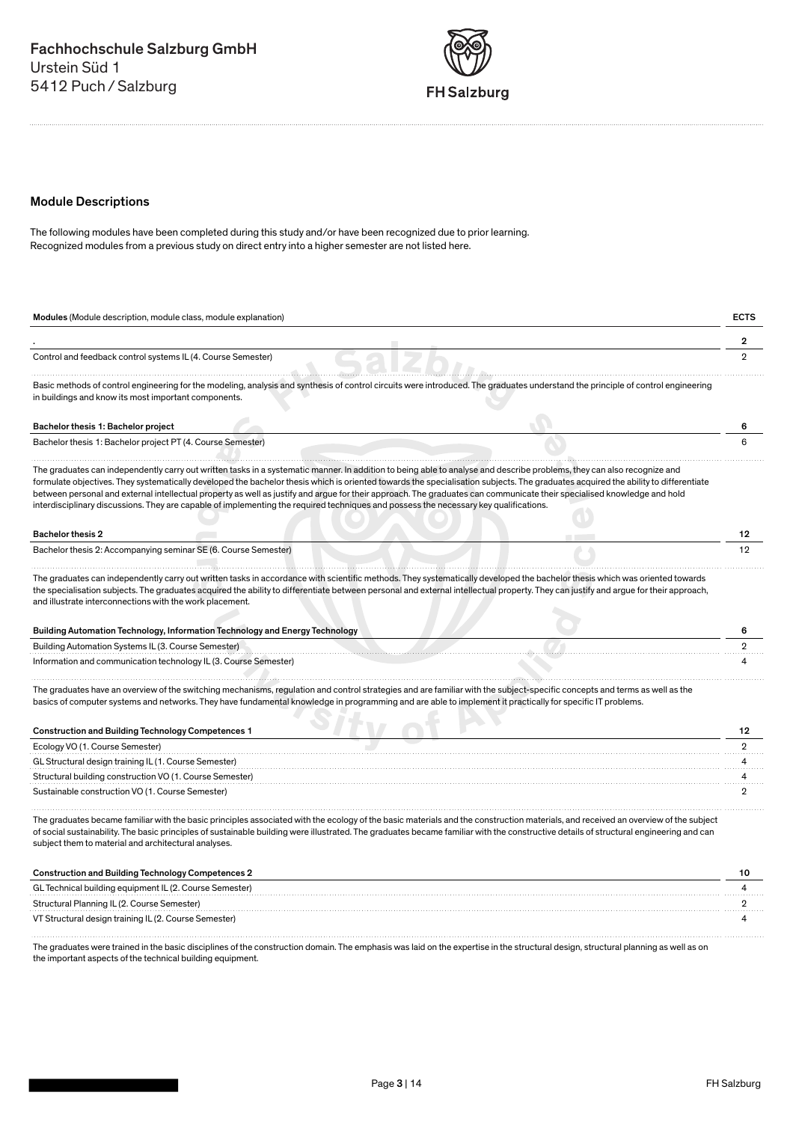

## Module Descriptions

The following modules have been completed during this study and/or have been recognized due to prior learning. Recognized modules from a previous study on direct entry into a higher semester are not listed here.

| Modules (Module description, module class, module explanation)                                                                                                                                                                                                                                                                                                                                                                                                                                                                                                                                                                                                                    | <b>ECTS</b>    |
|-----------------------------------------------------------------------------------------------------------------------------------------------------------------------------------------------------------------------------------------------------------------------------------------------------------------------------------------------------------------------------------------------------------------------------------------------------------------------------------------------------------------------------------------------------------------------------------------------------------------------------------------------------------------------------------|----------------|
|                                                                                                                                                                                                                                                                                                                                                                                                                                                                                                                                                                                                                                                                                   | 2              |
| Control and feedback control systems IL (4. Course Semester)                                                                                                                                                                                                                                                                                                                                                                                                                                                                                                                                                                                                                      | $\overline{2}$ |
| Basic methods of control engineering for the modeling, analysis and synthesis of control circuits were introduced. The graduates understand the principle of control engineering<br>in buildings and know its most important components.                                                                                                                                                                                                                                                                                                                                                                                                                                          |                |
| Bachelor thesis 1: Bachelor project                                                                                                                                                                                                                                                                                                                                                                                                                                                                                                                                                                                                                                               |                |
| Bachelor thesis 1: Bachelor project PT (4. Course Semester)                                                                                                                                                                                                                                                                                                                                                                                                                                                                                                                                                                                                                       |                |
| The graduates can independently carry out written tasks in a systematic manner. In addition to being able to analyse and describe problems, they can also recognize and<br>formulate objectives. They systematically developed the bachelor thesis which is oriented towards the specialisation subjects. The graduates acquired the ability to differentiate<br>between personal and external intellectual property as well as justify and argue for their approach. The graduates can communicate their specialised knowledge and hold<br>interdisciplinary discussions. They are capable of implementing the required techniques and possess the necessary key qualifications. |                |
| <b>Bachelor thesis 2</b>                                                                                                                                                                                                                                                                                                                                                                                                                                                                                                                                                                                                                                                          | 12             |
| Bachelor thesis 2: Accompanying seminar SE (6. Course Semester)                                                                                                                                                                                                                                                                                                                                                                                                                                                                                                                                                                                                                   | 12             |
| The graduates can independently carry out written tasks in accordance with scientific methods. They systematically developed the bachelor thesis which was oriented towards<br>the specialisation subjects. The graduates acquired the ability to differentiate between personal and external intellectual property. They can justify and argue for their approach,<br>and illustrate interconnections with the work placement.<br>Building Automation Technology, Information Technology and Energy Technology                                                                                                                                                                   | 6              |
| Building Automation Systems IL (3. Course Semester)                                                                                                                                                                                                                                                                                                                                                                                                                                                                                                                                                                                                                               | $\overline{2}$ |
| Information and communication technology IL (3. Course Semester)                                                                                                                                                                                                                                                                                                                                                                                                                                                                                                                                                                                                                  |                |
| The graduates have an overview of the switching mechanisms, regulation and control strategies and are familiar with the subject-specific concepts and terms as well as the<br>basics of computer systems and networks. They have fundamental knowledge in programming and are able to implement it practically for specific IT problems.                                                                                                                                                                                                                                                                                                                                          |                |
| <b>Construction and Building Technology Competences 1</b>                                                                                                                                                                                                                                                                                                                                                                                                                                                                                                                                                                                                                         | 12             |
| Ecology VO (1. Course Semester)                                                                                                                                                                                                                                                                                                                                                                                                                                                                                                                                                                                                                                                   | $\overline{2}$ |
| GL Structural design training IL (1. Course Semester)                                                                                                                                                                                                                                                                                                                                                                                                                                                                                                                                                                                                                             |                |
| Structural building construction VO (1. Course Semester)                                                                                                                                                                                                                                                                                                                                                                                                                                                                                                                                                                                                                          |                |
| Sustainable construction VO (1. Course Semester)                                                                                                                                                                                                                                                                                                                                                                                                                                                                                                                                                                                                                                  | $\overline{2}$ |
| The graduates became familiar with the basic principles associated with the ecology of the basic materials and the construction materials, and received an overview of the subject<br>of social sustainability. The basic principles of sustainable building were illustrated. The graduates became familiar with the constructive details of structural engineering and can<br>subject them to material and architectural analyses.                                                                                                                                                                                                                                              |                |
| <b>Construction and Building Technology Competences 2</b>                                                                                                                                                                                                                                                                                                                                                                                                                                                                                                                                                                                                                         | 10             |
| GL Technical building equipment IL (2. Course Semester)                                                                                                                                                                                                                                                                                                                                                                                                                                                                                                                                                                                                                           |                |

Structural Planning IL (2. Course Semester) 2 VT Structural design training IL (2. Course Semester) 4 

The graduates were trained in the basic disciplines of the construction domain. The emphasis was laid on the expertise in the structural design, structural planning as well as on the important aspects of the technical building equipment.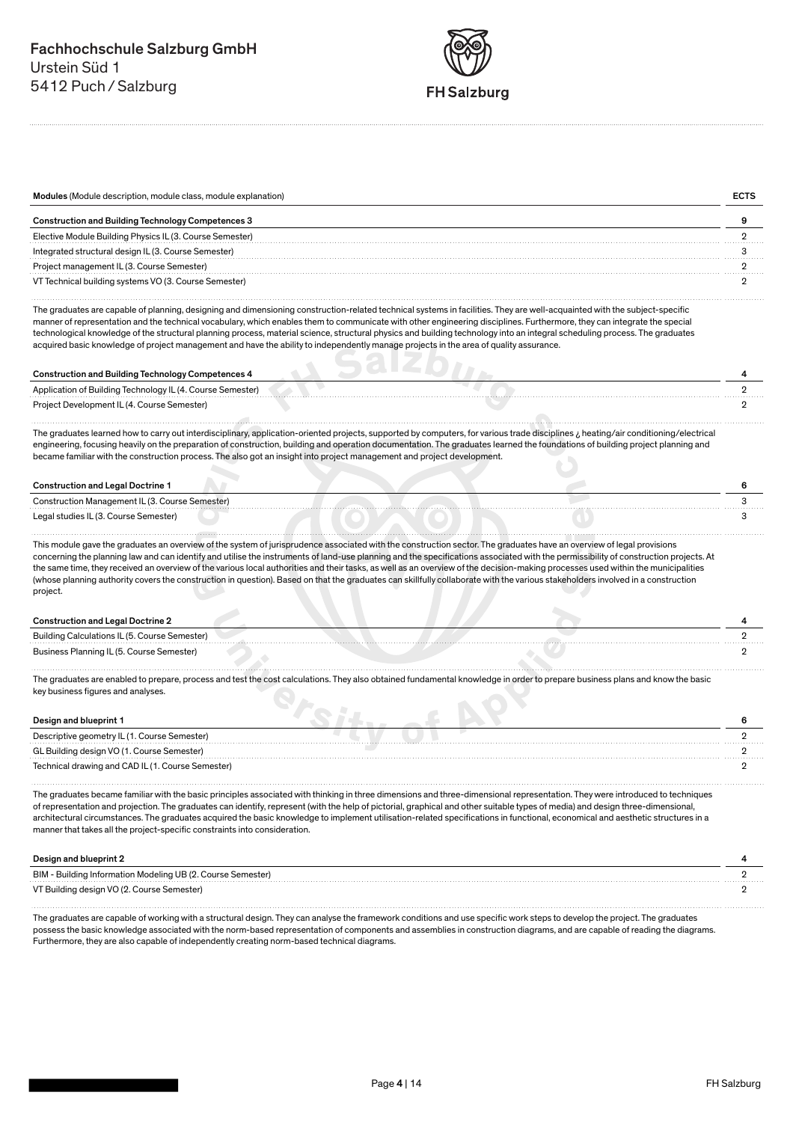

| Modules (Module description, module class, module explanation) |  |
|----------------------------------------------------------------|--|
| <b>Construction and Building Technology Competences 3</b>      |  |
| Elective Module Building Physics IL (3. Course Semester)       |  |
| Integrated structural design IL (3. Course Semester)           |  |
| Project management IL (3. Course Semester)                     |  |
| VT Technical building systems VO (3. Course Semester)          |  |

The graduates are capable of planning, designing and dimensioning construction-related technical systems in facilities. They are well-acquainted with the subject-specific manner of representation and the technical vocabulary, which enables them to communicate with other engineering disciplines. Furthermore, they can integrate the special technological knowledge of the structural planning process, material science, structural physics and building technology into an integral scheduling process. The graduates acquired basic knowledge of project management and have the ability to independently manage projects in the area of quality assurance.

| <b>Construction and Building Technology Competences 4</b>  |  |
|------------------------------------------------------------|--|
| Application of Building Technology IL (4. Course Semester) |  |
| Project Development IL (4. Course Semester)                |  |
|                                                            |  |

The graduates learned how to carry out interdisciplinary, application-oriented projects, supported by computers, for various trade disciplines ¿ heating/air conditioning/electrical engineering, focusing heavily on the preparation of construction, building and operation documentation. The graduates learned the foundations of building project planning and became familiar with the construction process. The also got an insight into project management and project development.

## Construction and Legal Doctrine 1 6

| Construction Management IL (3. Course Semester) |  |  | . |
|-------------------------------------------------|--|--|---|
| Legal studies IL (3. Course Semester)           |  |  |   |
|                                                 |  |  |   |

This module gave the graduates an overview of the system of jurisprudence associated with the construction sector. The graduates have an overview of legal provisions concerning the planning law and can identify and utilise the instruments of land-use planning and the specifications associated with the permissibility of construction projects. At the same time, they received an overview of the various local authorities and their tasks, as well as an overview of the decision-making processes used within the municipalities (whose planning authority covers the construction in question). Based on that the graduates can skillfully collaborate with the various stakeholders involved in a construction project.

### **Construction and Legal Doctrine 2** 4

| Building Calculations IL (5. Course Semester) |  |  |
|-----------------------------------------------|--|--|
| Business Planning IL (5. Course Semester)     |  |  |
|                                               |  |  |

The graduates are enabled to prepare, process and test the cost calculations. They also obtained fundamental knowledge in order to prepare business plans and know the basic key business figures and analyses.

| Design and blueprint 1                            |  |  |  |  |
|---------------------------------------------------|--|--|--|--|
| Descriptive geometry IL (1. Course Semester)      |  |  |  |  |
| GL Building design VO (1. Course Semester)        |  |  |  |  |
| Technical drawing and CAD IL (1. Course Semester) |  |  |  |  |

The graduates became familiar with the basic principles associated with thinking in three dimensions and three-dimensional representation. They were introduced to techniques of representation and projection. The graduates can identify, represent (with the help of pictorial, graphical and other suitable types of media) and design three-dimensional, architectural circumstances. The graduates acquired the basic knowledge to implement utilisation-related specifications in functional, economical and aesthetic structures in a manner that takes all the project-specific constraints into consideration.

| Design and blueprint 2                                      |  |
|-------------------------------------------------------------|--|
| BIM - Building Information Modeling UB (2. Course Semester) |  |
| VT Building design VO (2. Course Semester)                  |  |

The graduates are capable of working with a structural design. They can analyse the framework conditions and use specific work steps to develop the project. The graduates possess the basic knowledge associated with the norm-based representation of components and assemblies in construction diagrams, and are capable of reading the diagrams. Furthermore, they are also capable of independently creating norm-based technical diagrams.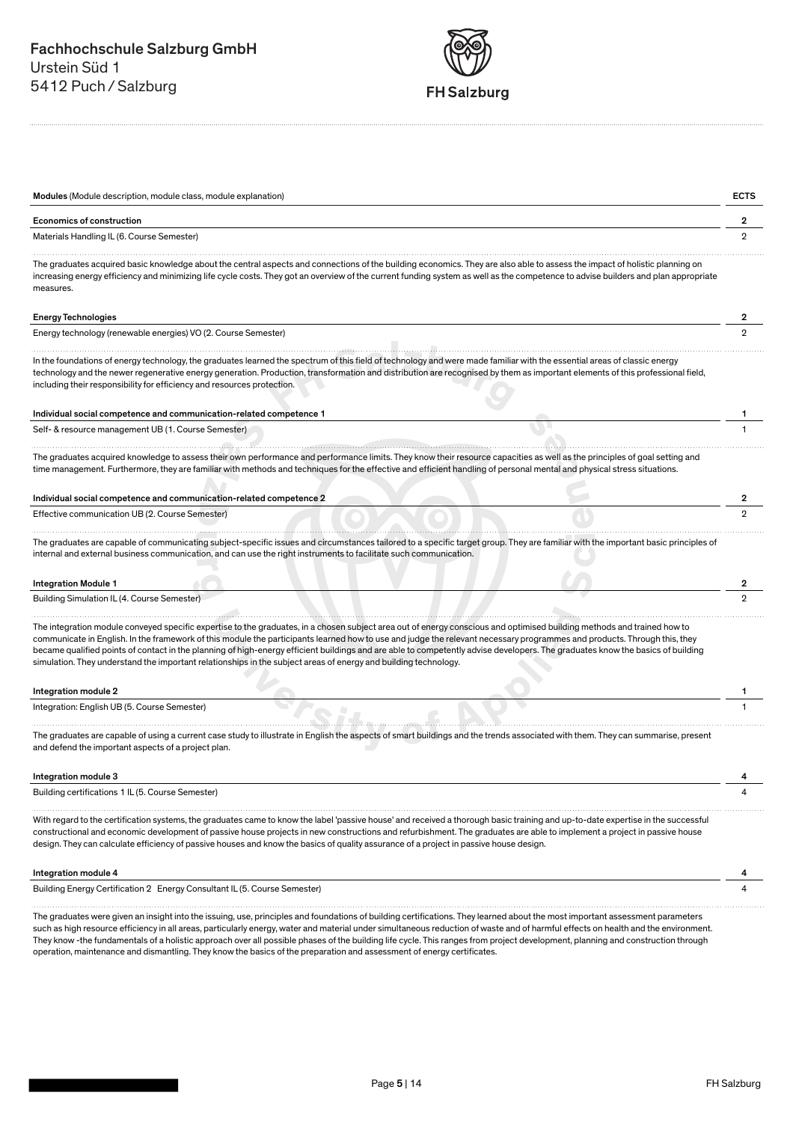

| <b>Economics of construction</b>                                                                                                                                                                                                                                                                                                                                                                                                                                                                                                                                                                                                                                                                                                 | 2 |
|----------------------------------------------------------------------------------------------------------------------------------------------------------------------------------------------------------------------------------------------------------------------------------------------------------------------------------------------------------------------------------------------------------------------------------------------------------------------------------------------------------------------------------------------------------------------------------------------------------------------------------------------------------------------------------------------------------------------------------|---|
| Materials Handling IL (6. Course Semester)                                                                                                                                                                                                                                                                                                                                                                                                                                                                                                                                                                                                                                                                                       |   |
| The graduates acquired basic knowledge about the central aspects and connections of the building economics. They are also able to assess the impact of holistic planning on<br>increasing energy efficiency and minimizing life cycle costs. They got an overview of the current funding system as well as the competence to advise builders and plan appropriate<br>measures.                                                                                                                                                                                                                                                                                                                                                   |   |
| <b>Energy Technologies</b>                                                                                                                                                                                                                                                                                                                                                                                                                                                                                                                                                                                                                                                                                                       | 2 |
| Energy technology (renewable energies) VO (2. Course Semester)                                                                                                                                                                                                                                                                                                                                                                                                                                                                                                                                                                                                                                                                   |   |
| In the foundations of energy technology, the graduates learned the spectrum of this field of technology and were made familiar with the essential areas of classic energy<br>technology and the newer regenerative energy generation. Production, transformation and distribution are recognised by them as important elements of this professional field,<br>including their responsibility for efficiency and resources protection.                                                                                                                                                                                                                                                                                            |   |
|                                                                                                                                                                                                                                                                                                                                                                                                                                                                                                                                                                                                                                                                                                                                  |   |
| Individual social competence and communication-related competence 1                                                                                                                                                                                                                                                                                                                                                                                                                                                                                                                                                                                                                                                              |   |
| Self- & resource management UB (1. Course Semester)                                                                                                                                                                                                                                                                                                                                                                                                                                                                                                                                                                                                                                                                              |   |
|                                                                                                                                                                                                                                                                                                                                                                                                                                                                                                                                                                                                                                                                                                                                  |   |
| The graduates acquired knowledge to assess their own performance and performance limits. They know their resource capacities as well as the principles of goal setting and<br>time management. Furthermore, they are familiar with methods and techniques for the effective and efficient handling of personal mental and physical stress situations.                                                                                                                                                                                                                                                                                                                                                                            |   |
|                                                                                                                                                                                                                                                                                                                                                                                                                                                                                                                                                                                                                                                                                                                                  | 2 |
|                                                                                                                                                                                                                                                                                                                                                                                                                                                                                                                                                                                                                                                                                                                                  |   |
|                                                                                                                                                                                                                                                                                                                                                                                                                                                                                                                                                                                                                                                                                                                                  |   |
|                                                                                                                                                                                                                                                                                                                                                                                                                                                                                                                                                                                                                                                                                                                                  | 2 |
|                                                                                                                                                                                                                                                                                                                                                                                                                                                                                                                                                                                                                                                                                                                                  | 2 |
| Individual social competence and communication-related competence 2<br>Effective communication UB (2. Course Semester)<br>The graduates are capable of communicating subject-specific issues and circumstances tailored to a specific target group. They are familiar with the important basic principles of<br>internal and external business communication, and can use the right instruments to facilitate such communication.<br><b>Integration Module 1</b><br>Building Simulation IL (4. Course Semester)                                                                                                                                                                                                                  |   |
|                                                                                                                                                                                                                                                                                                                                                                                                                                                                                                                                                                                                                                                                                                                                  |   |
|                                                                                                                                                                                                                                                                                                                                                                                                                                                                                                                                                                                                                                                                                                                                  |   |
| The integration module conveyed specific expertise to the graduates, in a chosen subject area out of energy conscious and optimised building methods and trained how to<br>communicate in English. In the framework of this module the participants learned how to use and judge the relevant necessary programmes and products. Through this, they<br>became qualified points of contact in the planning of high-energy efficient buildings and are able to competently advise developers. The graduates know the basics of building<br>simulation. They understand the important relationships in the subject areas of energy and building technology.<br>Integration module 2<br>Integration: English UB (5. Course Semester) |   |
|                                                                                                                                                                                                                                                                                                                                                                                                                                                                                                                                                                                                                                                                                                                                  |   |
| The graduates are capable of using a current case study to illustrate in English the aspects of smart buildings and the trends associated with them. They can summarise, present<br>and defend the important aspects of a project plan.<br>Integration module 3                                                                                                                                                                                                                                                                                                                                                                                                                                                                  | 4 |
| Building certifications 1 IL (5. Course Semester)                                                                                                                                                                                                                                                                                                                                                                                                                                                                                                                                                                                                                                                                                |   |
|                                                                                                                                                                                                                                                                                                                                                                                                                                                                                                                                                                                                                                                                                                                                  |   |
| With regard to the certification systems, the graduates came to know the label 'passive house' and received a thorough basic training and up-to-date expertise in the successful<br>constructional and economic development of passive house projects in new constructions and refurbishment. The graduates are able to implement a project in passive house<br>design. They can calculate efficiency of passive houses and know the basics of quality assurance of a project in passive house design.<br>Integration module 4                                                                                                                                                                                                   |   |

operation, maintenance and dismantling. They know the basics of the preparation and assessment of energy certificates.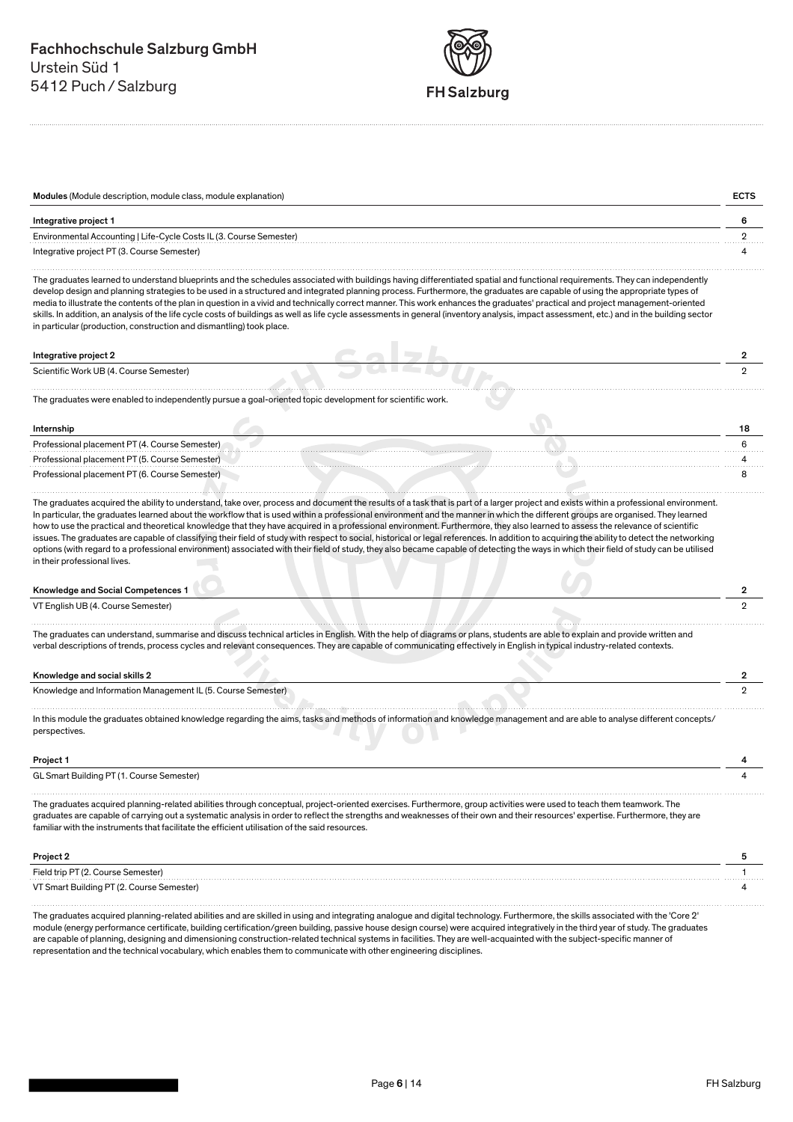

| Modules (Module description, module class, module explanation)      |  |
|---------------------------------------------------------------------|--|
| Integrative project 1                                               |  |
| Environmental Accounting   Life-Cycle Costs IL (3. Course Semester) |  |
| Integrative project PT (3. Course Semester)                         |  |

The graduates learned to understand blueprints and the schedules associated with buildings having differentiated spatial and functional requirements. They can independently develop design and planning strategies to be used in a structured and integrated planning process. Furthermore, the graduates are capable of using the appropriate types of media to illustrate the contents of the plan in question in a vivid and technically correct manner. This work enhances the graduates' practical and project management-oriented skills. In addition, an analysis of the life cycle costs of buildings as well as life cycle assessments in general (inventory analysis, impact assessment, etc.) and in the building sector in particular (production, construction and dismantling) took place.

| Integrative project 2                   |  |
|-----------------------------------------|--|
| Scientific Work UB (4. Course Semester) |  |

The graduates were enabled to independently pursue a goal-oriented topic development for scientific work.

<u> 1999 - Johann Stone, Amerikaansk ferhandsk ferhandse ferhandse ferhandse ferhandse ferhandse ferhandse ferhandse ferhandse ferhandse ferhandse ferhandse ferhandse ferhandse ferhandse ferhandse ferhandse ferhandse ferhand</u>

### Internship 18

Professional placement PT (4. Course Semester) Professional placement PT (5. Course Semester) 4 Professional placement PT (6. Course Semester)

The graduates acquired the ability to understand, take over, process and document the results of a task that is part of a larger project and exists within a professional environment.

In particular, the graduates learned about the workflow that is used within a professional environment and the manner in which the different groups are organised. They learned how to use the practical and theoretical knowledge that they have acquired in a professional environment. Furthermore, they also learned to assess the relevance of scientific issues. The graduates are capable of classifying their field of study with respect to social, historical or legal references. In addition to acquiring the ability to detect the networking options (with regard to a professional environment) associated with their field of study, they also became capable of detecting the ways in which their field of study can be utilised in their professional lives.

### Knowledge and Social Competences 1 2

VT English UB (4. Course Semester) 2

The graduates can understand, summarise and discuss technical articles in English. With the help of diagrams or plans, students are able to explain and provide written and verbal descriptions of trends, process cycles and relevant consequences. They are capable of communicating effectively in English in typical industry-related contexts.

### Knowledge and social skills 2

Knowledge and Information Management IL (5. Course Semester) 2

In this module the graduates obtained knowledge regarding the aims, tasks and methods of information and knowledge management and are able to analyse different concepts/ perspectives.

### Project 1 4

GL Smart Building PT (1. Course Semester) 4

The graduates acquired planning-related abilities through conceptual, project-oriented exercises. Furthermore, group activities were used to teach them teamwork. The graduates are capable of carrying out a systematic analysis in order to reflect the strengths and weaknesses of their own and their resources' expertise. Furthermore, they are familiar with the instruments that facilitate the efficient utilisation of the said resources.

### Project 2 5

| Field trip PT (2. Course Semester)        |  |
|-------------------------------------------|--|
| VT Smart Building PT (2. Course Semester) |  |

The graduates acquired planning-related abilities and are skilled in using and integrating analogue and digital technology. Furthermore, the skills associated with the 'Core 2' module (energy performance certificate, building certification/green building, passive house design course) were acquired integratively in the third year of study. The graduates are capable of planning, designing and dimensioning construction-related technical systems in facilities. They are well-acquainted with the subject-specific manner of representation and the technical vocabulary, which enables them to communicate with other engineering disciplines.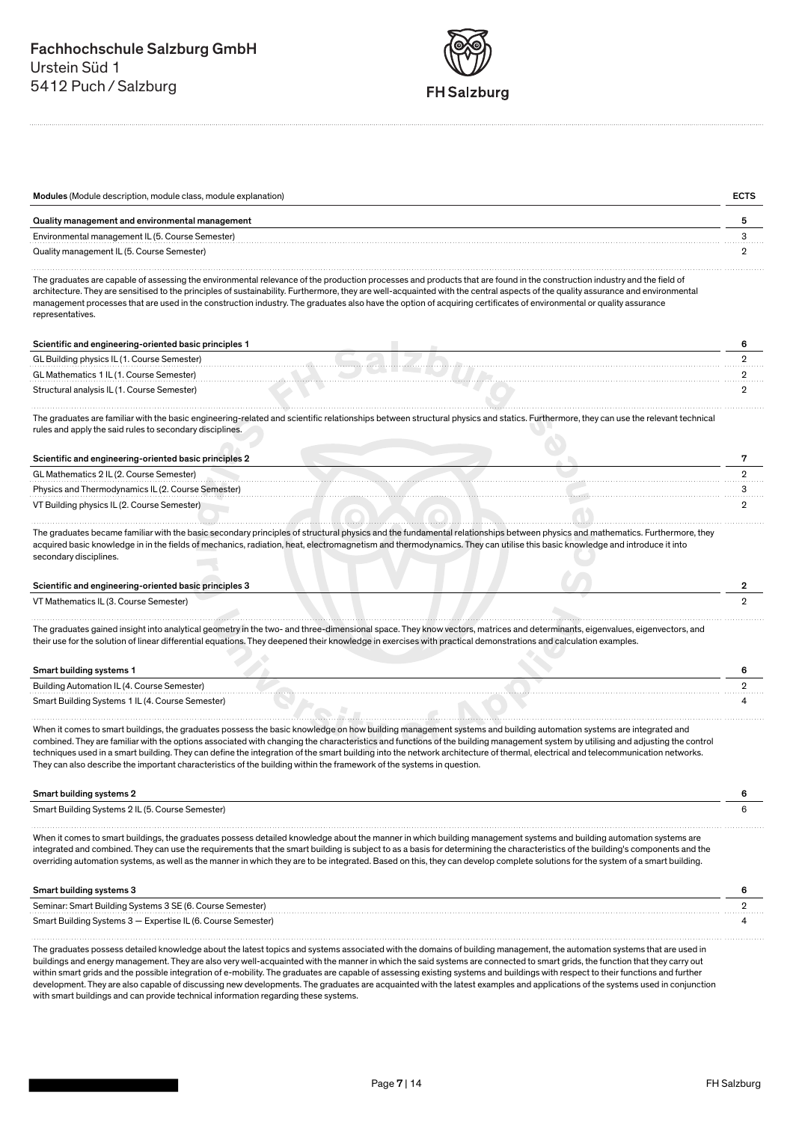

| Modules (Module description, module class, module explanation) |  |
|----------------------------------------------------------------|--|
| Quality management and environmental management                |  |
| Environmental management IL (5. Course Semester)               |  |
| Quality management IL (5. Course Semester)                     |  |

The graduates are capable of assessing the environmental relevance of the production processes and products that are found in the construction industry and the field of architecture. They are sensitised to the principles of sustainability. Furthermore, they are well-acquainted with the central aspects of the quality assurance and environmental management processes that are used in the construction industry. The graduates also have the option of acquiring certificates of environmental or quality assurance representatives.

### Scientific and engineering-oriented basic principles 1 6

| GL Building physics IL (1. Course Semester) |  |
|---------------------------------------------|--|
| GL Mathematics 1 IL (1. Course Semester)    |  |
| Structural analysis IL (1. Course Semester) |  |
|                                             |  |

The graduates are familiar with the basic engineering-related and scientific relationships between structural physics and statics. Furthermore, they can use the relevant technical rules and apply the said rules to secondary disciplines.

| Scientific and engineering-oriented basic principles 2 |  |
|--------------------------------------------------------|--|
| GL Mathematics 2 IL (2. Course Semester)               |  |
| Physics and Thermodynamics IL (2. Course Semester)     |  |
| VT Building physics IL (2. Course Semester)            |  |

The graduates became familiar with the basic secondary principles of structural physics and the fundamental relationships between physics and mathematics. Furthermore, they acquired basic knowledge in in the fields of mechanics, radiation, heat, electromagnetism and thermodynamics. They can utilise this basic knowledge and introduce it into secondary disciplines.

### Scientific and engineering-oriented basic principles 3 2

VT Mathematics IL (3. Course Semester) 2

The graduates gained insight into analytical geometry in the two- and three-dimensional space. They know vectors, matrices and determinants, eigenvalues, eigenvectors, and their use for the solution of linear differential equations. They deepened their knowledge in exercises with practical demonstrations and calculation examples.

# Smart building systems 1 6

| Building Automation IL (4. Course Semester)      |  |
|--------------------------------------------------|--|
| Smart Building Systems 1 IL (4. Course Semester) |  |

When it comes to smart buildings, the graduates possess the basic knowledge on how building management systems and building automation systems are integrated and combined. They are familiar with the options associated with changing the characteristics and functions of the building management system by utilising and adjusting the control techniques used in a smart building. They can define the integration of the smart building into the network architecture of thermal, electrical and telecommunication networks. They can also describe the important characteristics of the building within the framework of the systems in question.

### Smart building systems 2 6

| Smart Building Systems 2 IL (5. Course Semester) |  |
|--------------------------------------------------|--|
|                                                  |  |

When it comes to smart buildings, the graduates possess detailed knowledge about the manner in which building management systems and building automation systems are integrated and combined. They can use the requirements that the smart building is subject to as a basis for determining the characteristics of the building's components and the overriding automation systems, as well as the manner in which they are to be integrated. Based on this, they can develop complete solutions for the system of a smart building.

| Smart building systems 3                                     |  |
|--------------------------------------------------------------|--|
| Seminar: Smart Building Systems 3 SE (6. Course Semester)    |  |
| Smart Building Systems 3 - Expertise IL (6. Course Semester) |  |

The graduates possess detailed knowledge about the latest topics and systems associated with the domains of building management, the automation systems that are used in buildings and energy management. They are also very well-acquainted with the manner in which the said systems are connected to smart grids, the function that they carry out within smart grids and the possible integration of e-mobility. The graduates are capable of assessing existing systems and buildings with respect to their functions and further development. They are also capable of discussing new developments. The graduates are acquainted with the latest examples and applications of the systems used in conjunction with smart buildings and can provide technical information regarding these systems.

. . . . . . . . .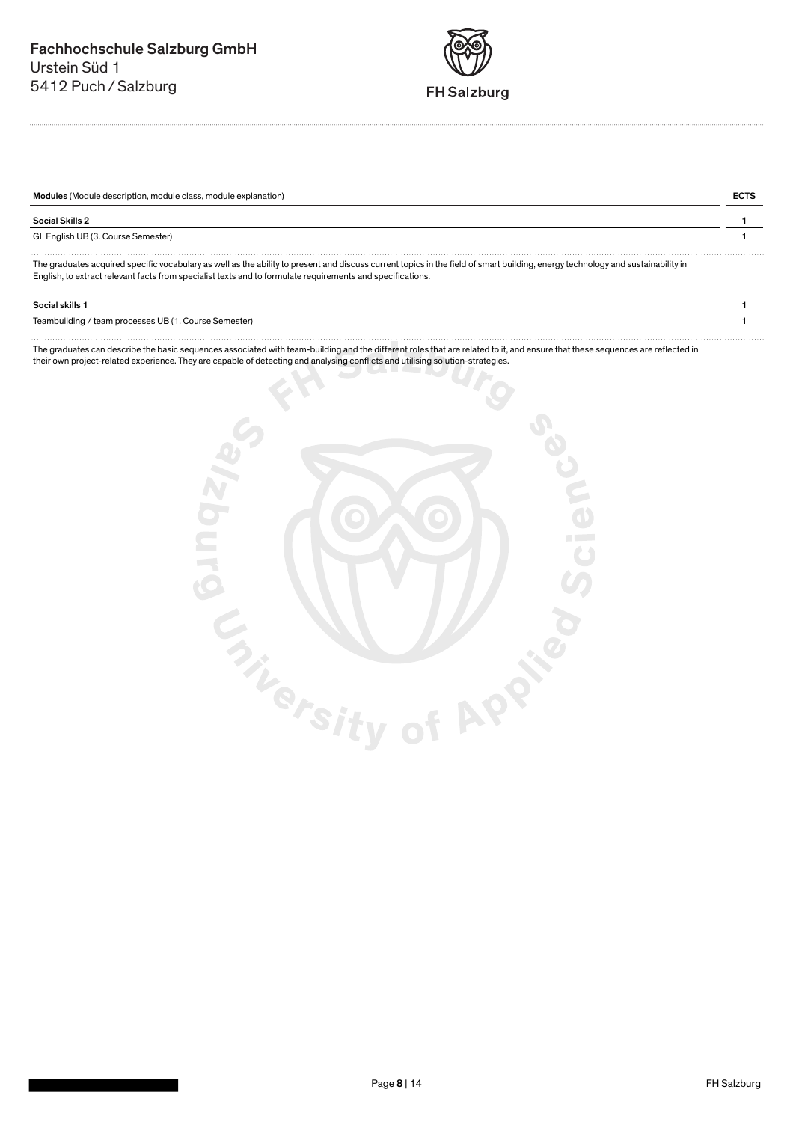

| Modules (Module description, module class, module explanation) |  |
|----------------------------------------------------------------|--|
| <b>Social Skills 2</b>                                         |  |
| GL English UB (3. Course Semester)                             |  |
| $\sim$<br>.                                                    |  |

The graduates acquired specific vocabulary as well as the ability to present and discuss current topics in the field of smart building, energy technology and sustainability in English, to extract relevant facts from specialist texts and to formulate requirements and specifications.

### Social skills 1 1

Teambuilding / team processes UB (1. Course Semester) 1

The graduates can describe the basic sequences associated with team-building and the different roles that are related to it, and ensure that these sequences are reflected in their own project-related experience. They are capable of detecting and analysing conflicts and utilising solution-strategies.

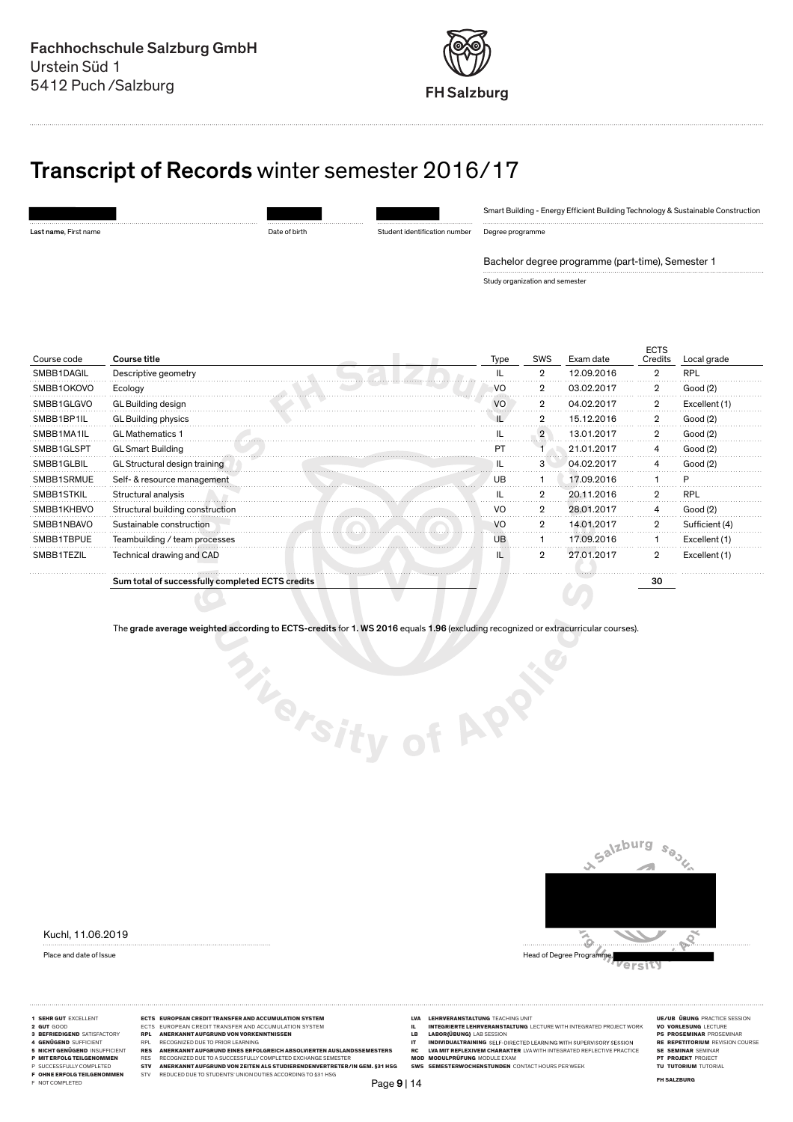

# Transcript of Records winter semester 2016/17

Last name, First name Date of birth Student identification number

Smart Building - Energy Efficient Building Technology & Sustainable Construction

Degree programme

Bachelor degree programme (part-time), Semester 1

Study organization and semester

| Course code | Course title                                     | Type | <b>SWS</b>     | Exam date  | <b>ECTS</b><br>Credits | Local grade    |
|-------------|--------------------------------------------------|------|----------------|------------|------------------------|----------------|
| SMBB1DAGIL  | Descriptive geometry                             | IL   | $\overline{2}$ | 12.09.2016 | $\overline{2}$         | <b>RPL</b>     |
| SMBB10K0VO  | Ecology                                          | VO   | $\overline{2}$ | 03.02.2017 | $\overline{2}$         | Good (2)       |
| SMBB1GLGVO  | GL Building design                               | VO   | 2              | 04.02.2017 | 2                      | Excellent (1)  |
| SMBB1BP1IL  | GL Building physics                              |      | $\overline{2}$ | 15.12.2016 | $\overline{2}$         | Good (2)       |
| SMBB1MA1IL  | <b>GL Mathematics 1</b>                          |      | $\overline{2}$ | 13.01.2017 | $\overline{2}$         | Good (2)       |
| SMBB1GLSPT  | <b>GL Smart Building</b>                         | PT   |                | 21.01.2017 |                        | Good (2)       |
| SMBB1GLBIL  | GL Structural design training                    | IL   | З              | 04.02.2017 |                        | Good (2)       |
| SMBB1SRMUE  | Self- & resource management                      | UB   |                | 17.09.2016 |                        | P              |
| SMBB1STKIL  | Structural analysis                              | н.   | $\mathbf{2}$   | 20.11.2016 | ŋ                      | <b>RPL</b>     |
| SMBB1KHBVO  | Structural building construction                 | VO   | $\overline{2}$ | 28.01.2017 | 4                      | Good (2)       |
| SMBB1NBAVO  | Sustainable construction                         | VO   | $\overline{2}$ | 14.01.2017 | $\overline{2}$         | Sufficient (4) |
| SMBB1TBPUE  | Teambuilding / team processes                    | UB   |                | 17.09.2016 |                        | Excellent (1)  |
| SMBB1TEZIL  | Technical drawing and CAD                        | IL   | $\overline{2}$ | 27.01.2017 | $\overline{2}$         | Excellent (1)  |
|             | Sum total of successfully completed ECTS credits |      |                |            | 30                     |                |
|             |                                                  |      |                |            |                        |                |

The grade average weighted according to ECTS-credits for 1. WS 2016 equals 1.96 (excluding recognized or extracurricular courses).

**Sity of APP** 

Kuchl, 11.06.2019



- 
- 
- 
- 
- 
- 
- 
- 
- 
- 
- 
- 
- 
- 1 SEHR GUT EXCELLENT **ECTS EUROPEAN CREDIT TRANSFER AND ACCUMULATION SYSTEM**<br>2 GOOD ECTS EUROPEAN CREDIT TRANSFER AND ACCUMULATION SYSTEM IN ENTERNED AND SESSION RECORDING TO THOSE AND TRANSFER AND THE CONFIDENT OF THE CON 3 BERIDIGEND REPUBBERANNTALIVERANNTALIVER HARD MOVIDIGE IN ABORIGION CONSUMERT HARD HAND HERE SESSION PROSENTING<br>FINDIVIDUALTRAINING SELF-DIRECTED LEARNING THE REPETTORUM REVISION COURSE<br>FINDIVIDUALTRAINING SELF-DIRECTED E
	-
	-
- Page 9 | 14
- 
- **LECTS FERNE DE LEHRVERANSTALTUNG**<br>**INTEGRIERTE LEHRVERANSTALTUNG** LECTURE WITH INTEGRATED PROJECT WORK<br>**IABOR(ÜBUNG)** LAB SESSION<br>**INDIVIDUALTRAINING** SELF-DIRECTED LEARNING WITH SUPERVISORY SESSION
- 
- 
- -
- 
- 
- 
- 
- 
-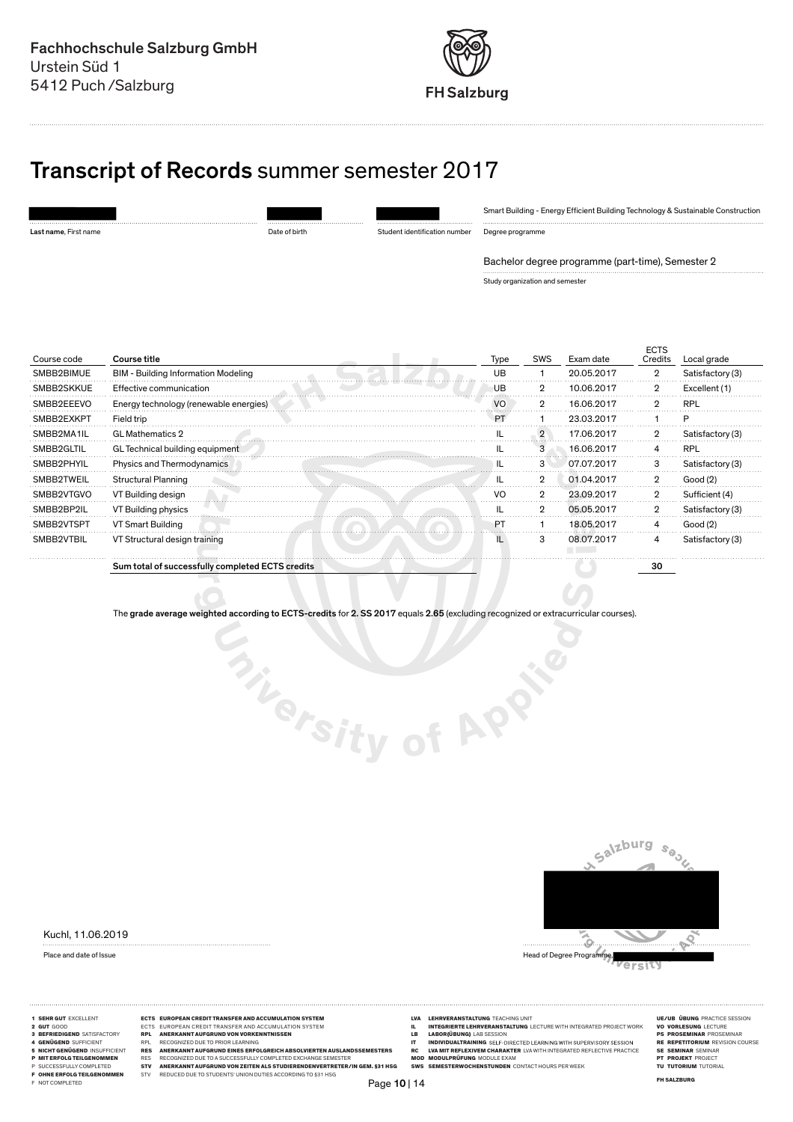

# Transcript of Records summer semester 2017

| Last name, First name |  |
|-----------------------|--|

Date of birth Student identification number

Smart Building - Energy Efficient Building Technology & Sustainable Construction

Degree programme

Bachelor degree programme (part-time), Semester 2

Study organization and semester

| Course code | Course title                                     | Type | <b>SWS</b>     | Exam date  | <b>ECTS</b><br>Credits | Local grade      |
|-------------|--------------------------------------------------|------|----------------|------------|------------------------|------------------|
| SMBB2BIMUE  | <b>BIM - Building Information Modeling</b>       | UB   |                | 20.05.2017 | $\overline{2}$         | Satisfactory (3) |
| SMBB2SKKUE  | Effective communication                          | UB   |                | 10.06.2017 | 2                      | Excellent (1)    |
| SMBB2EEEVO  | Energy technology (renewable energies)           | VO   | $\overline{2}$ | 16.06.2017 | 2                      | <b>RPL</b>       |
| SMBB2EXKPT  | Field trip                                       | PT   |                | 23.03.2017 |                        |                  |
| SMBB2MA1IL  | <b>GL Mathematics 2</b>                          |      | $\overline{2}$ | 17.06.2017 | $\overline{2}$         | Satisfactory (3) |
| SMBB2GLTIL  | GL Technical building equipment                  |      | 3              | 16.06.2017 |                        | <b>RPL</b>       |
| SMBB2PHYIL  | Physics and Thermodynamics                       |      | 3              | 07.07.2017 | 3                      | Satisfactory (3) |
| SMBB2TWEIL  | <b>Structural Planning</b>                       |      | $\overline{2}$ | 01.04.2017 | $\overline{2}$         | Good (2)         |
| SMBB2VTGVO  | VT Building design                               | VO   | $\overline{2}$ | 23.09.2017 | $\overline{2}$         | Sufficient (4)   |
| SMBB2BP2IL  | VT Building physics                              |      | 2              | 05.05.2017 | 2                      | Satisfactory (3) |
| SMBB2VTSPT  | VT Smart Building                                | PT   |                | 18.05.2017 | 4                      | Good (2)         |
| SMBB2VTBIL  | VT Structural design training                    |      | 3              | 08.07.2017 | 4                      | Satisfactory (3) |
|             | Sum total of successfully completed ECTS credits |      |                |            | 30                     |                  |

The grade average weighted according to ECTS-credits for 2. SS 2017 equals 2.65 (excluding recognized or extracurricular courses).

**Thersity of APP** 

Kuchl, 11.06.2019



ersit

- 
- 
- 
- 
- 
- 

- 
- 
- -
	-
- 
- 
- 1 SEHR GUT EXCELLENT **ECTS EUROPEAN CREDIT TRANSFER AND ACCUMULATION SYSTEM**<br>2 GOOD ECTS EUROPEAN CREDIT TRANSFER AND ACCUMULATION SYSTEM IN ENTERNED AND SESSION RECORDING TO THOSE AND TRANSFER AND THE CONFIDENT OF THE CON 3 BERIDIGEND REPUBBERANNTALIVERANNTALIVER HARD UNITS AND HAND THE MEDITION OF THE RECOGNIZED DUE TO PRIOR LEARNING<br>5 INCHEMENT SERVICION REPUBBERANNTALIVER IN ENGINEER ALL CONTROLLY COMPUTATION IN A SUPPOSE OF THE CONTROLL
	-
- Page 10 | 14
- 
- 
- **LECTS FERNE DE LEHRVERANSTALTUNG**<br>**INTEGRIERTE LEHRVERANSTALTUNG** LECTURE WITH INTEGRATED PROJECT WORK<br>**IABOR(ÜBUNG)** LAB SESSION<br>**INDIVIDUALTRAINING** SELF-DIRECTED LEARNING WITH SUPERVISORY SESSION
- 
- 

- 
- 
- 
- 
- 
-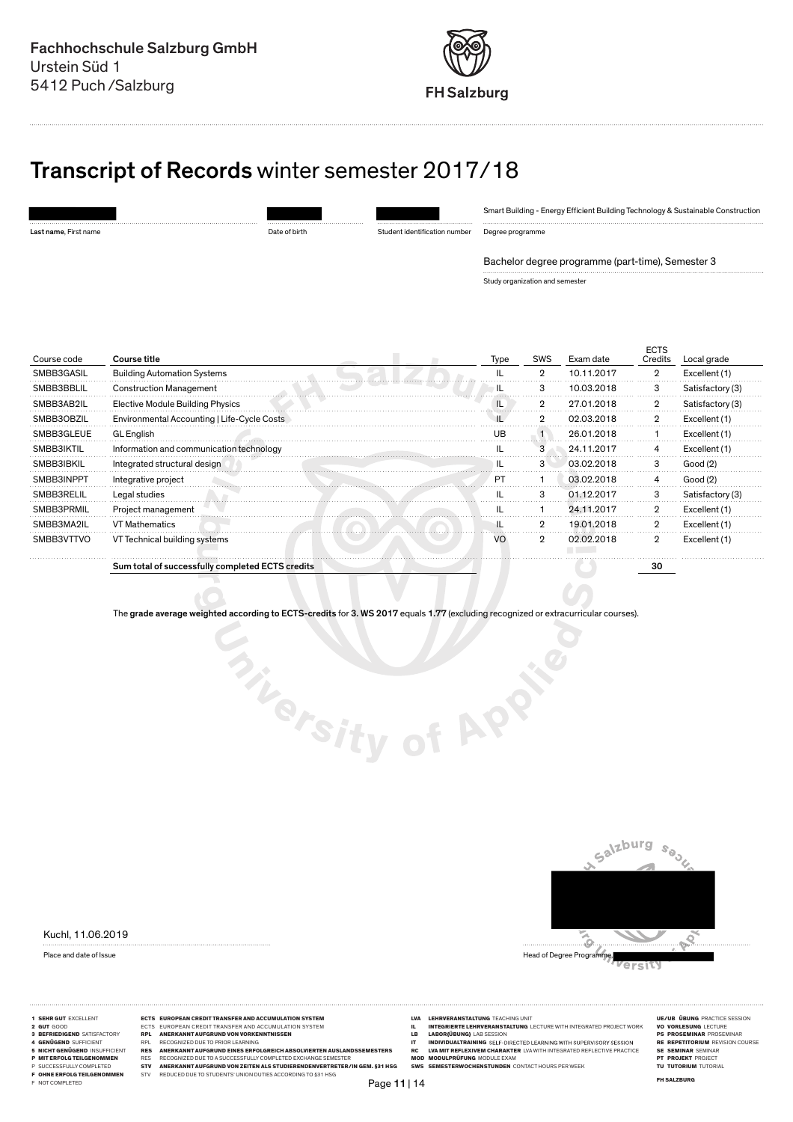

# Transcript of Records winter semester 2017/18

Date of birth Student identification number

Smart Building - Energy Efficient Building Technology & Sustainable Construction

Degree programme

Bachelor degree programme (part-time), Semester 3

Study organization and semester

| Course code | Course title                                     | Type | <b>SWS</b>     | Exam date  | <b>ECTS</b><br>Credits | Local grade      |
|-------------|--------------------------------------------------|------|----------------|------------|------------------------|------------------|
| SMBB3GASIL  | <b>Building Automation Systems</b>               |      | $\overline{2}$ | 10.11.2017 | $\overline{2}$         | Excellent (1)    |
| SMBB3BBLIL  | <b>Construction Management</b>                   |      |                | 10.03.2018 | З                      | Satisfactory (3) |
| SMBB3AB2IL  | <b>Elective Module Building Physics</b>          |      | $\overline{2}$ | 27.01.2018 | $\overline{2}$         | Satisfactory (3) |
| SMBB30BZIL  | Environmental Accounting   Life-Cycle Costs      |      | $\mathbf{2}$   | 02.03.2018 | $\overline{2}$         | Excellent (1)    |
| SMBB3GLEUE  | <b>GL</b> English                                | UΒ   |                | 26.01.2018 |                        | Excellent (1)    |
| SMBB3IKTIL  | Information and communication technology         |      | 3              | 24.11.2017 |                        | Excellent (1)    |
| SMBB3IBKIL  | Integrated structural design                     |      | 3              | 03.02.2018 | 3                      | Good (2)         |
| SMBB3INPPT  | Integrative project                              | PT   |                | 03.02.2018 |                        | Good(2)          |
| SMBB3RELIL  | Legal studies                                    |      | з              | 01.12.2017 | 3                      | Satisfactory (3) |
| SMBB3PRMIL  | Project management                               |      |                | 24.11.2017 | $\overline{2}$         | Excellent (1)    |
| SMBB3MA2IL  | <b>VT Mathematics</b>                            |      | 2              | 19.01.2018 | 2                      | Excellent (1)    |
| SMBB3VTTVO  | VT Technical building systems                    | VO   | $\overline{2}$ | 02.02.2018 | $\overline{2}$         | Excellent (1)    |
|             | Sum total of successfully completed ECTS credits |      |                |            | 30                     |                  |

The grade average weighted according to ECTS-credits for 3. WS 2017 equals 1.77 (excluding recognized or extracurricular courses).

**Thersity of APP** 

Kuchl, 11.06.2019

Salzburg  $s_{\theta_{\rm O}}$ ္လွ

- 
- 
- 
- 
- 
- 
- 
- 
- 
- 
- 
- 1 SEHR GUT EXCELLENT **ECTS EUROPEAN CREDIT TRANSFER AND ACCUMULATION SYSTEM**<br>2 GOOD ECTS EUROPEAN CREDIT TRANSFER AND ACCUMULATION SYSTEM IN ENTERNED AND SESSION RECORDING TO THOSE AND TRANSFER AND THE CONFIDENT OF THE CON 3 BEFRIEDIGEND SATISFACTORY RPL ANERKANNT AUFGRUND VON VORKENNTNISSEN LB LABOR ÜBUNG LAB SESSION PS PROSEMINAR PROSEMINAR 4 GENÜGEND SUFFICIENT RPL RECOGNIZED DUE TO PRIOR LEARNING IT INDIVIDUALTRAINING RE REPETITORIUM REVISION COURSE 5 NICHT GENÜGEND INSUFFICIENT RES ANERKANNT AUFGRUND EINES ERFOLGREICH ABSOLVIERTEN AUSLANDSSEMESTERS RC LVA MIT REFLEXIVEM CHARAKTER LVA WITH INTEGRATED REFLECTIVE PRACTICE SE SEMINAR SEMINAR P MIT ERFOLG TEILGENOMMEN RES RECOGNIZED DUE TO A SUCCESSFULLY COMPLETED EXCHANGE SEMESTER MOD MODULPRÜFUNG MODULE EXAM PT PROJEKT PROJECT P SUCCESSFULLY COMPLETED STV ANERKANNT AUFGRUND VON ZEITEN ALS STUDIERENDENVERTRETER/IN GEM. §31 HSG SWS SEMESTERWOCHENSTUNDEN CONTACT HOURS PER WEEK TU TUTORIUM TUTORIAL F OHNE ERFOLG TEILGENOMMEN STV REDUCED DUE TO STUDENTS' UNION DUTIES ACCORDING TO §31 HSG FH SALZBURG F NOT COMPLETED
	-
	-
- Page 11 | 14
- 
- 
- **LECTS FERNE DE LEHRVERANSTALTUNG**<br>**INTEGRIERTE LEHRVERANSTALTUNG** LECTURE WITH INTEGRATED PROJECT WORK<br>**IABOR(ÜBUNG)** LAB SESSION<br>**INDIVIDUALTRAINING** SELF-DIRECTED LEARNING WITH SUPERVISORY SESSION
- 
- -
- 
- 
- 
- 
- 
- 
- Place and date of Issue **Head of Degree Programme, and the US** Head of Degree Programme, Head of Degree Programme, ersit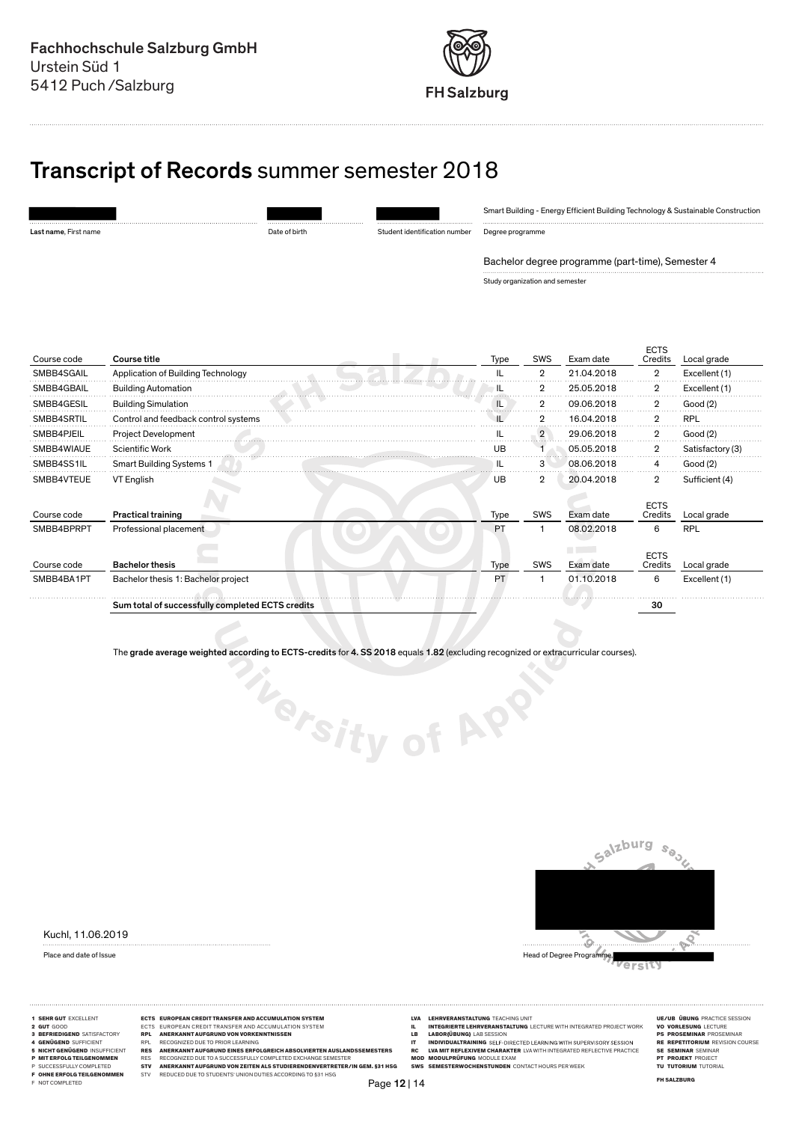

# Transcript of Records summer semester 2018

Last name, First name Date of birth Student identification number

Smart Building - Energy Efficient Building Technology & Sustainable Construction

Degree programme

Bachelor degree programme (part-time), Semester 4

Study organization and semester

| Course code | Course title                                     | Type | <b>SWS</b>     | Exam date                      | <b>ECTS</b><br>Credits | Local grade      |
|-------------|--------------------------------------------------|------|----------------|--------------------------------|------------------------|------------------|
| SMBB4SGAIL  | Application of Building Technology               |      | $\overline{2}$ | 21.04.2018                     | $\overline{2}$         | Excellent (1)    |
| SMBB4GBAIL  | <b>Building Automation</b>                       | IL   | 2              | 25.05.2018                     | $\overline{2}$         | Excellent (1)    |
| SMBB4GESIL  | <b>Building Simulation</b>                       | ΙL   | 2              | 09.06.2018                     | 2                      | Good (2)         |
| SMBB4SRTIL  | Control and feedback control systems             |      | $\overline{2}$ | 16.04.2018                     | $\overline{2}$         | <b>RPL</b>       |
| SMBB4PJEIL  | <b>Project Development</b>                       |      | $\overline{2}$ | 29.06.2018                     | $\overline{2}$         | Good (2)         |
| SMBB4WIAUE  | <b>Scientific Work</b>                           | UB   |                | 05.05.2018                     | $\overline{2}$         | Satisfactory (3) |
| SMBB4SS1IL  | <b>Smart Building Systems 1</b>                  |      | 3              | 08.06.2018                     | 4                      | Good (2)         |
| SMBB4VTEUE  | VT English                                       | UB   | 2              | 20.04.2018                     | 2                      | Sufficient (4)   |
| Course code | <b>Practical training</b>                        | Type | SWS            | Exam date                      | <b>ECTS</b><br>Credits | Local grade      |
| SMBB4BPRPT  | Professional placement                           | PT   |                | 08.02.2018                     | 6                      | <b>RPL</b>       |
| Course code | <b>Bachelor thesis</b>                           | Type | SWS            | <b>CONTRACTOR</b><br>Exam date | <b>ECTS</b><br>Credits | Local grade      |
| SMBB4BA1PT  | Bachelor thesis 1: Bachelor project              | PT   |                | 01.10.2018                     | 6                      | Excellent (1)    |
|             | Sum total of successfully completed ECTS credits |      |                |                                | 30                     |                  |

The grade average weighted according to ECTS-credits for 4. SS 2018 equals 1.82 (excluding recognized or extracurricular courses).

Thersity of APP





ersit

- 
- 
- 
- 
- 
- 
- 
- 
- 
- 
- 
- 
- 5 NICHTOLOGIN INSUFFICIENT TRES ANERKANNTAUFGRUMESERFOLGREICHABSOLURENTENAUSLAUSERS HECHTOLOGING PREINERALIGE U<br>Pimiterfolgteilgenommen hes recognizedduetoasuccesfullycompletedexchangesemester mod modulprüfung modulprüfung
- 1 SEHR GUT EXCELLENT **ECTS EUROPEAN CREDIT TRANSFER AND ACCUMULATION SYSTEM**<br>
2 GUT GOOD SATISFACTORY **ECTES EUROPEAN CREDIT TRANSFER AND ACCUMULATION SYSTEM LINE ARENERATED PROFENISION IN A LEHRY ERAPTION AND ECTURE WITH**
- P SUCCESSFULLYCOMPLETED STV ANERKANNTAUFGRUNDVONZEITENALSSTUDIERENDENVERTRETER/INGEM.§31 HSG SWS SEMESTERWOCHENSTUNDEN CONTACTHOURS PER WEEK TUTTORION TUTORIUM TUTORIAL<br>FONNE ERFOLGTEILGENOMMEN STV REDUCED DUETO STUDENTS'U
	-
- Page 12 | 14
- 
- 
- 2 GUT GOOD ECTS EUROPEAN CREDITTRANSFERAND ACCUMULATION SYSTEM HERRE THE INTEGRIERTE LEHRVERANSTALTUNG LECTURE WITH INTEGRIET PROJECTWORK VO VORLESUNG LECTURE<br>3 BERIEDIGEND SATISFACTORY RPL ANERKANNTAR PROSENT MERRENNING S
	-
	-

- 
- 
- 
- 
- 
-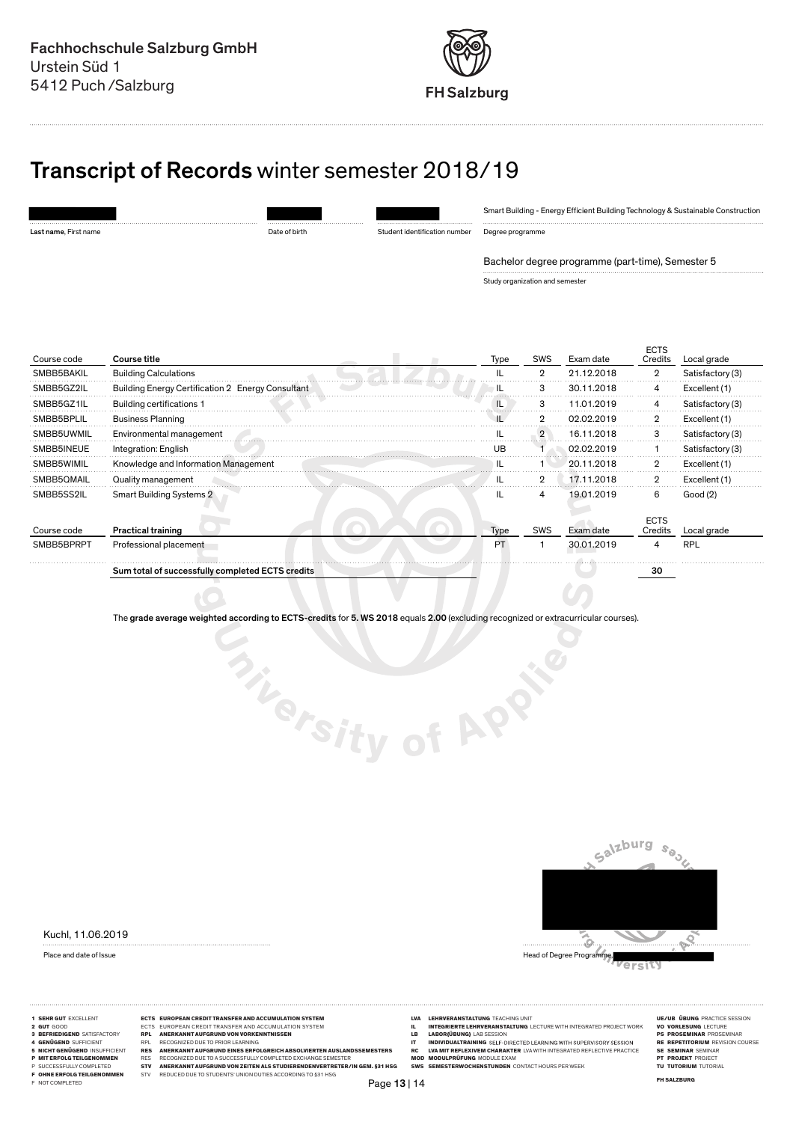

# Transcript of Records winter semester 2018/19

|                       |               |                               | Smart Building - Energy Efficient Building Technology & Sustainable Construction |
|-----------------------|---------------|-------------------------------|----------------------------------------------------------------------------------|
| Last name, First name | Date of birth | Student identification number | Degree programme                                                                 |
|                       |               |                               | Bachelor degree programme (part-time), Semester 5                                |

Study organization and semester

| Course title<br>Course code                                     | Type | <b>SWS</b>     | Exam date  | <b>ECTS</b><br>Credits | Local grade      |
|-----------------------------------------------------------------|------|----------------|------------|------------------------|------------------|
| <b>Building Calculations</b><br>SMBB5BAKIL                      |      | $\overline{2}$ | 21.12.2018 | 2                      | Satisfactory (3) |
| Building Energy Certification 2 Energy Consultant<br>SMBB5GZ2IL |      | з              | 30.11.2018 |                        | Excellent (1)    |
| <b>Building certifications 1</b><br>SMBB5GZ1IL                  |      | 3              | 11.01.2019 | 4                      | Satisfactory (3) |
| <b>Business Planning</b><br>SMBB5BPLIL                          |      | $\overline{2}$ | 02.02.2019 | 2                      | Excellent (1)    |
| Environmental management<br>SMBB5UWMIL                          |      | $\overline{2}$ | 16.11.2018 | 3                      | Satisfactory (3) |
| SMBB5INEUE<br>Integration: English                              | l IB |                | 02.02.2019 |                        | Satisfactory (3) |
| Knowledge and Information Management<br>SMBB5WIMIL              |      |                | 20.11.2018 |                        | Excellent (1)    |
| SMBB50MAIL<br>Quality management                                |      | 2              | 17.11.2018 | 2                      | Excellent (1)    |
| <b>Smart Building Systems 2</b><br>SMBB5SS2IL                   |      | 4              | 19.01.2019 | 6                      | Good (2)         |
| <b>Practical training</b><br>Course code                        | Type | <b>SWS</b>     | Exam date  | <b>ECTS</b><br>Credits | Local grade      |
| SMBB5BPRPT<br>Professional placement                            | PT.  |                | 30.01.2019 | 4                      | <b>RPL</b>       |
| Sum total of successfully completed ECTS credits                |      |                |            | 30                     |                  |

The grade average weighted according to ECTS-credits for 5. WS 2018 equals 2.00 (excluding recognized or extracurricular courses).

Kuchl, 11.06.2019



ersity

- 
- 
- 
- 
- 
- 
- 
- 
- 
- 
- -
- 
- 1 SEHR GUT EXCELLENT **ECTS EUROPEAN CREDIT TRANSFER AND ACCUMULATION SYSTEM**<br>2 GUT GOD SATISFACTORY **ECTS EUROPEAN CREDIT TRANSFER AND ACCUMULATION SYSTEM INTEGRATION AT EXAMPLE ENTERPRESANT AND EXAMPLE TO PRODUCT AND FROM** 3 BEFRIEDIGEND SATISFACTORY RPL ANERKANNT AUFGRUND VON VORKENNTNISSEN LB LABOR ÜBUNG LAB SESSION PS PROSEMINAR PROSEMINAR 4 GENÜGEND SUFFICIENT RPL RECOGNIZED DUE TO PRIOR LEARNING IT INDIVIDUALTRAINING RE REPETITORIUM REVISION COURSE 5 NICHT GENÜGEND INSUFFICIENT RES ANERKANNT AUFGRUND EINES ERFOLGREICH ABSOLVIERTEN AUSLANDSSEMESTERS RC LVA MIT REFLEXIVEM CHARAKTER LVA WITH INTEGRATED REFLECTIVE PRACTICE SE SEMINAR SEMINAR P MIT ERFOLG TEILGENOMMEN RES RECOGNIZED DUE TO A SUCCESSFULLY COMPLETED EXCHANGE SEMESTER MOD MODULPRÜFUNG MODULE EXAM PT PROJEKT PROJECT P SUCCESSFULLY COMPLETED STV ANERKANNT AUFGRUND VON ZEITEN ALS STUDIERENDENVERTRETER/IN GEM. §31 HSG SWS SEMESTERWOCHENSTUNDEN CONTACT HOURS PER WEEK TU TUTORIUM TUTORIAL F OHNE ERFOLG TEILGENOMMEN STV REDUCED DUE TO STUDENTS' UNION DUTIES ACCORDING TO §31 HSG FH SALZBURG F NOT COMPLETED
	- - - Page 13 | 14
- 
- 
- **LECTAVEAN SI GUT GOOD ECTS EUROPEAN CREDIT TRANSFER AND ACCUMULATION SYSTEM INTEGRATED PROJECT WORK LABOR(ÜBUNG)**<br>**LABOR(ÜBUNG)** LAB SESSION<br>INDIVIDUALTRAINING SELF-DIRECTED LEARNING WITH SUPERVISORY SESSION
- 
- -
- 
- 
- 
- 
- 
- 
- 

**Thersity of APP**